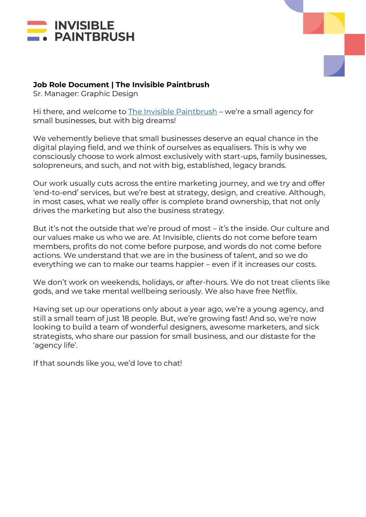



### **Job Role Document | The Invisible Paintbrush**

Sr. Manager: Graphic Design

Hi there, and welcome to [The Invisible Paintbrush](http://www.theinvisiblepaintbrush.com/) – we're a small agency for small businesses, but with big dreams!

We vehemently believe that small businesses deserve an equal chance in the digital playing field, and we think of ourselves as equalisers. This is why we consciously choose to work almost exclusively with start-ups, family businesses, solopreneurs, and such, and not with big, established, legacy brands.

Our work usually cuts across the entire marketing journey, and we try and offer 'end-to-end' services, but we're best at strategy, design, and creative. Although, in most cases, what we really offer is complete brand ownership, that not only drives the marketing but also the business strategy.

But it's not the outside that we're proud of most – it's the inside. Our culture and our values make us who we are. At Invisible, clients do not come before team members, profits do not come before purpose, and words do not come before actions. We understand that we are in the business of talent, and so we do everything we can to make our teams happier – even if it increases our costs.

We don't work on weekends, holidays, or after-hours. We do not treat clients like gods, and we take mental wellbeing seriously. We also have free Netflix.

Having set up our operations only about a year ago, we're a young agency, and still a small team of just 18 people. But, we're growing fast! And so, we're now looking to build a team of wonderful designers, awesome marketers, and sick strategists, who share our passion for small business, and our distaste for the 'agency life'.

If that sounds like you, we'd love to chat!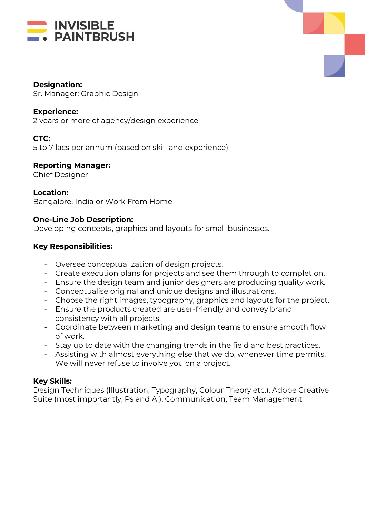



#### **Designation:**

Sr. Manager: Graphic Design

### **Experience:**

2 years or more of agency/design experience

# **CTC**:

5 to 7 lacs per annum (based on skill and experience)

### **Reporting Manager:**

Chief Designer

### **Location:**

Bangalore, India or Work From Home

# **One-Line Job Description:**

Developing concepts, graphics and layouts for small businesses.

# **Key Responsibilities:**

- Oversee conceptualization of design projects.
- Create execution plans for projects and see them through to completion.
- Ensure the design team and junior designers are producing quality work.
- Conceptualise original and unique designs and illustrations.
- Choose the right images, typography, graphics and layouts for the project.
- Ensure the products created are user-friendly and convey brand consistency with all projects.
- Coordinate between marketing and design teams to ensure smooth flow of work.
- Stay up to date with the changing trends in the field and best practices.
- Assisting with almost everything else that we do, whenever time permits. We will never refuse to involve you on a project.

# **Key Skills:**

Design Techniques (Illustration, Typography, Colour Theory etc.), Adobe Creative Suite (most importantly, Ps and Ai), Communication, Team Management